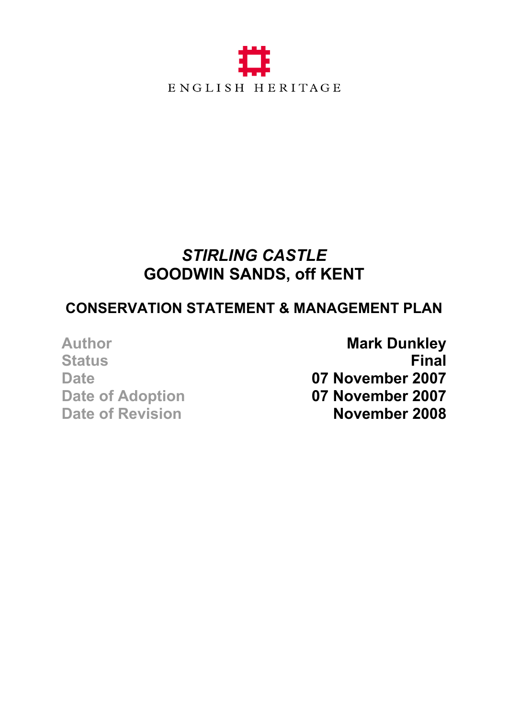

#### *STIRLING CASTLE*  **GOODWIN SANDS, off KENT**

#### **CONSERVATION STATEMENT & MANAGEMENT PLAN**

Author **Mark Dunkley Status Final** Date **07 November 2007 Date of Adoption 07 November 2007 Date of Revision November 2008**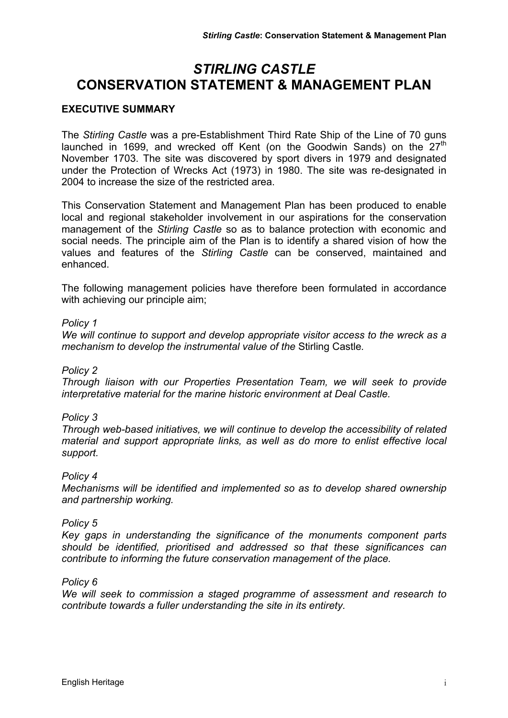#### *STIRLING CASTLE* **CONSERVATION STATEMENT & MANAGEMENT PLAN**

#### **EXECUTIVE SUMMARY**

The *Stirling Castle* was a pre-Establishment Third Rate Ship of the Line of 70 guns launched in 1699, and wrecked off Kent (on the Goodwin Sands) on the  $27<sup>th</sup>$ November 1703. The site was discovered by sport divers in 1979 and designated under the Protection of Wrecks Act (1973) in 1980. The site was re-designated in 2004 to increase the size of the restricted area.

This Conservation Statement and Management Plan has been produced to enable local and regional stakeholder involvement in our aspirations for the conservation management of the *Stirling Castle* so as to balance protection with economic and social needs. The principle aim of the Plan is to identify a shared vision of how the values and features of the *Stirling Castle* can be conserved, maintained and enhanced.

The following management policies have therefore been formulated in accordance with achieving our principle aim;

#### *Policy 1*

*We will continue to support and develop appropriate visitor access to the wreck as a mechanism to develop the instrumental value of the* Stirling Castle*.* 

#### *Policy 2*

*Through liaison with our Properties Presentation Team, we will seek to provide interpretative material for the marine historic environment at Deal Castle.* 

#### *Policy 3*

*Through web-based initiatives, we will continue to develop the accessibility of related material and support appropriate links, as well as do more to enlist effective local support.* 

#### *Policy 4*

*Mechanisms will be identified and implemented so as to develop shared ownership and partnership working.* 

#### *Policy 5*

*Key gaps in understanding the significance of the monuments component parts should be identified, prioritised and addressed so that these significances can contribute to informing the future conservation management of the place.* 

#### *Policy 6*

*We will seek to commission a staged programme of assessment and research to contribute towards a fuller understanding the site in its entirety.*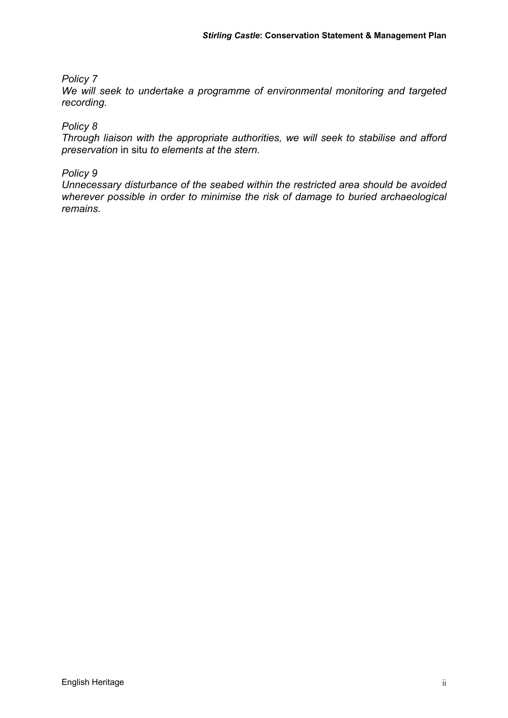#### *Policy 7*

*We will seek to undertake a programme of environmental monitoring and targeted recording.* 

#### *Policy 8*

*Through liaison with the appropriate authorities, we will seek to stabilise and afford preservation* in situ *to elements at the stern.* 

#### *Policy 9*

*Unnecessary disturbance of the seabed within the restricted area should be avoided wherever possible in order to minimise the risk of damage to buried archaeological remains.*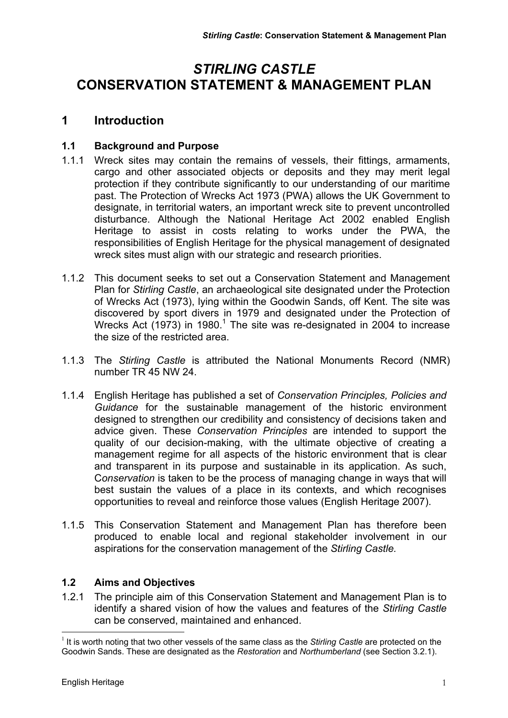#### *STIRLING CASTLE* **CONSERVATION STATEMENT & MANAGEMENT PLAN**

#### **1 Introduction**

#### **1.1 Background and Purpose**

- 1.1.1 Wreck sites may contain the remains of vessels, their fittings, armaments, cargo and other associated objects or deposits and they may merit legal protection if they contribute significantly to our understanding of our maritime past. The Protection of Wrecks Act 1973 (PWA) allows the UK Government to designate, in territorial waters, an important wreck site to prevent uncontrolled disturbance. Although the National Heritage Act 2002 enabled English Heritage to assist in costs relating to works under the PWA, the responsibilities of English Heritage for the physical management of designated wreck sites must align with our strategic and research priorities.
- 1.1.2 This document seeks to set out a Conservation Statement and Management Plan for *Stirling Castle*, an archaeological site designated under the Protection of Wrecks Act (1973), lying within the Goodwin Sands, off Kent. The site was discovered by sport divers in 1979 and designated under the Protection of Wrecks Act (1973) in 1980.<sup>1</sup> The site was re-designated in 2004 to increase the size of the restricted area.
- 1.1.3 The *Stirling Castle* is attributed the National Monuments Record (NMR) number TR 45 NW 24.
- 1.1.4 English Heritage has published a set of *Conservation Principles, Policies and Guidance* for the sustainable management of the historic environment designed to strengthen our credibility and consistency of decisions taken and advice given. These *Conservation Principles* are intended to support the quality of our decision-making, with the ultimate objective of creating a management regime for all aspects of the historic environment that is clear and transparent in its purpose and sustainable in its application. As such, C*onservation* is taken to be the process of managing change in ways that will best sustain the values of a place in its contexts, and which recognises opportunities to reveal and reinforce those values (English Heritage 2007).
- 1.1.5 This Conservation Statement and Management Plan has therefore been produced to enable local and regional stakeholder involvement in our aspirations for the conservation management of the *Stirling Castle.*

#### **1.2 Aims and Objectives**

1.2.1 The principle aim of this Conservation Statement and Management Plan is to identify a shared vision of how the values and features of the *Stirling Castle* can be conserved, maintained and enhanced.

 $\overline{a}$ <sup>1</sup> It is worth noting that two other vessels of the same class as the *Stirling Castle* are protected on the Goodwin Sands. These are designated as the *Restoration* and *Northumberland* (see Section 3.2.1).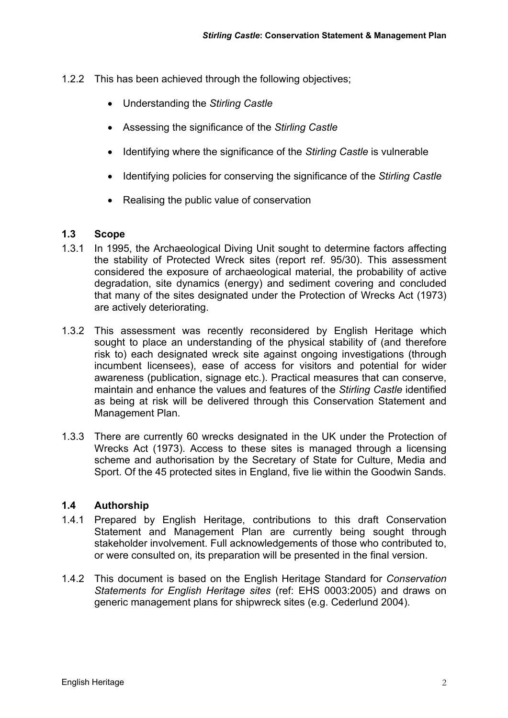- 1.2.2 This has been achieved through the following objectives;
	- Understanding the *Stirling Castle*
	- Assessing the significance of the *Stirling Castle*
	- Identifying where the significance of the *Stirling Castle* is vulnerable
	- Identifying policies for conserving the significance of the *Stirling Castle*
	- Realising the public value of conservation

#### **1.3 Scope**

- 1.3.1 In 1995, the Archaeological Diving Unit sought to determine factors affecting the stability of Protected Wreck sites (report ref. 95/30). This assessment considered the exposure of archaeological material, the probability of active degradation, site dynamics (energy) and sediment covering and concluded that many of the sites designated under the Protection of Wrecks Act (1973) are actively deteriorating.
- 1.3.2 This assessment was recently reconsidered by English Heritage which sought to place an understanding of the physical stability of (and therefore risk to) each designated wreck site against ongoing investigations (through incumbent licensees), ease of access for visitors and potential for wider awareness (publication, signage etc.). Practical measures that can conserve, maintain and enhance the values and features of the *Stirling Castle* identified as being at risk will be delivered through this Conservation Statement and Management Plan.
- 1.3.3 There are currently 60 wrecks designated in the UK under the Protection of Wrecks Act (1973). Access to these sites is managed through a licensing scheme and authorisation by the Secretary of State for Culture, Media and Sport. Of the 45 protected sites in England, five lie within the Goodwin Sands.

#### **1.4 Authorship**

- 1.4.1 Prepared by English Heritage, contributions to this draft Conservation Statement and Management Plan are currently being sought through stakeholder involvement. Full acknowledgements of those who contributed to, or were consulted on, its preparation will be presented in the final version.
- 1.4.2 This document is based on the English Heritage Standard for *Conservation Statements for English Heritage sites* (ref: EHS 0003:2005) and draws on generic management plans for shipwreck sites (e.g. Cederlund 2004).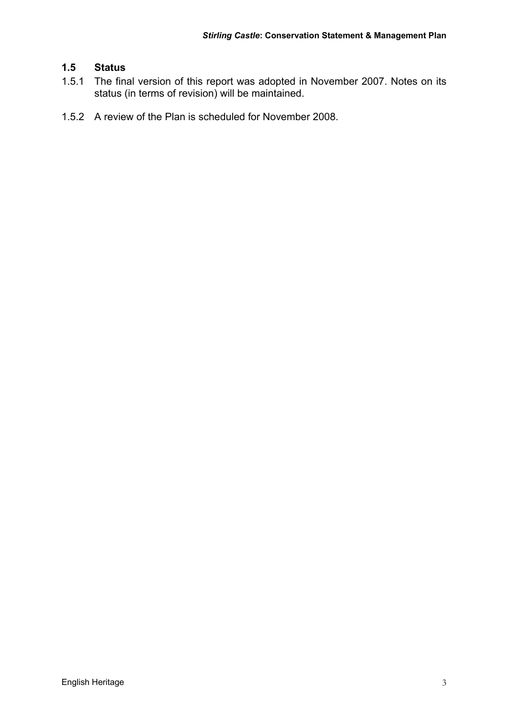#### **1.5 Status**

- 1.5.1 The final version of this report was adopted in November 2007. Notes on its status (in terms of revision) will be maintained.
- 1.5.2 A review of the Plan is scheduled for November 2008.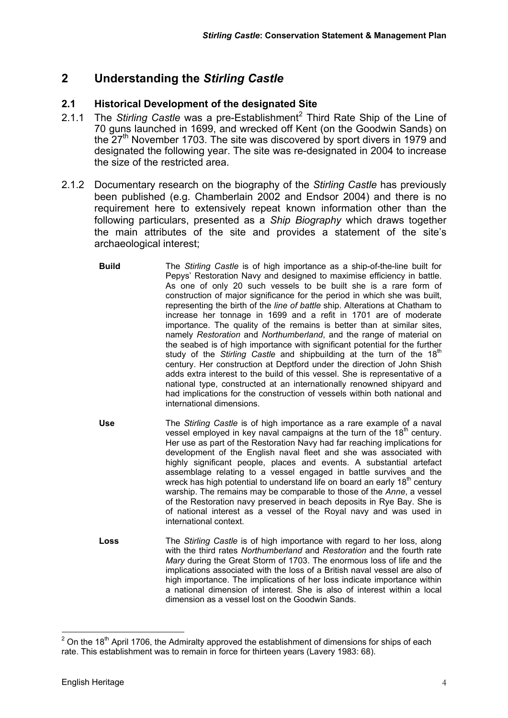#### **2 Understanding the** *Stirling Castle*

#### **2.1 Historical Development of the designated Site**

- 2.1.1 The Stirling Castle was a pre-Establishment<sup>2</sup> Third Rate Ship of the Line of 70 guns launched in 1699, and wrecked off Kent (on the Goodwin Sands) on the 27<sup>th</sup> November 1703. The site was discovered by sport divers in 1979 and designated the following year. The site was re-designated in 2004 to increase the size of the restricted area.
- 2.1.2 Documentary research on the biography of the *Stirling Castle* has previously been published (e.g. Chamberlain 2002 and Endsor 2004) and there is no requirement here to extensively repeat known information other than the following particulars, presented as a *Ship Biography* which draws together the main attributes of the site and provides a statement of the site's archaeological interest;
	- **Build** The *Stirling Castle* is of high importance as a ship-of-the-line built for Pepys' Restoration Navy and designed to maximise efficiency in battle. As one of only 20 such vessels to be built she is a rare form of construction of major significance for the period in which she was built, representing the birth of the *line of battle* ship. Alterations at Chatham to increase her tonnage in 1699 and a refit in 1701 are of moderate importance. The quality of the remains is better than at similar sites, namely *Restoration* and *Northumberland*, and the range of material on the seabed is of high importance with significant potential for the further study of the *Stirling Castle* and shipbuilding at the turn of the 18<sup>th</sup> century. Her construction at Deptford under the direction of John Shish adds extra interest to the build of this vessel. She is representative of a national type, constructed at an internationally renowned shipyard and had implications for the construction of vessels within both national and international dimensions.
	- **Use** The *Stirling Castle* is of high importance as a rare example of a naval vessel employed in key naval campaigns at the turn of the  $18<sup>th</sup>$  century. Her use as part of the Restoration Navy had far reaching implications for development of the English naval fleet and she was associated with highly significant people, places and events. A substantial artefact assemblage relating to a vessel engaged in battle survives and the wreck has high potential to understand life on board an early 18<sup>th</sup> century warship. The remains may be comparable to those of the *Anne*, a vessel of the Restoration navy preserved in beach deposits in Rye Bay. She is of national interest as a vessel of the Royal navy and was used in international context.
	- **Loss** The *Stirling Castle* is of high importance with regard to her loss, along with the third rates *Northumberland* and *Restoration* and the fourth rate *Mary* during the Great Storm of 1703. The enormous loss of life and the implications associated with the loss of a British naval vessel are also of high importance. The implications of her loss indicate importance within a national dimension of interest. She is also of interest within a local dimension as a vessel lost on the Goodwin Sands.

 $\frac{2}{100}$  On the 18<sup>th</sup> April 1706, the Admiralty approved the establishment of dimensions for ships of each rate. This establishment was to remain in force for thirteen years (Lavery 1983: 68).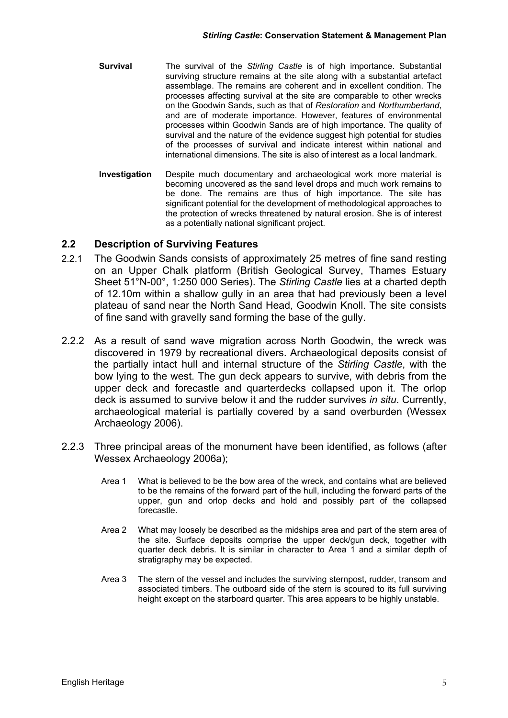- **Survival** The survival of the *Stirling Castle* is of high importance. Substantial surviving structure remains at the site along with a substantial artefact assemblage. The remains are coherent and in excellent condition. The processes affecting survival at the site are comparable to other wrecks on the Goodwin Sands, such as that of *Restoration* and *Northumberland*, and are of moderate importance. However, features of environmental processes within Goodwin Sands are of high importance. The quality of survival and the nature of the evidence suggest high potential for studies of the processes of survival and indicate interest within national and international dimensions. The site is also of interest as a local landmark.
- **Investigation** Despite much documentary and archaeological work more material is becoming uncovered as the sand level drops and much work remains to be done. The remains are thus of high importance. The site has significant potential for the development of methodological approaches to the protection of wrecks threatened by natural erosion. She is of interest as a potentially national significant project.

#### **2.2 Description of Surviving Features**

- 2.2.1 The Goodwin Sands consists of approximately 25 metres of fine sand resting on an Upper Chalk platform (British Geological Survey, Thames Estuary Sheet 51°N-00°, 1:250 000 Series). The *Stirling Castle* lies at a charted depth of 12.10m within a shallow gully in an area that had previously been a level plateau of sand near the North Sand Head, Goodwin Knoll. The site consists of fine sand with gravelly sand forming the base of the gully.
- 2.2.2 As a result of sand wave migration across North Goodwin, the wreck was discovered in 1979 by recreational divers. Archaeological deposits consist of the partially intact hull and internal structure of the *Stirling Castle*, with the bow lying to the west. The gun deck appears to survive, with debris from the upper deck and forecastle and quarterdecks collapsed upon it. The orlop deck is assumed to survive below it and the rudder survives *in situ*. Currently, archaeological material is partially covered by a sand overburden (Wessex Archaeology 2006).
- 2.2.3 Three principal areas of the monument have been identified, as follows (after Wessex Archaeology 2006a);
	- Area 1 What is believed to be the bow area of the wreck, and contains what are believed to be the remains of the forward part of the hull, including the forward parts of the upper, gun and orlop decks and hold and possibly part of the collapsed forecastle.
	- Area 2 What may loosely be described as the midships area and part of the stern area of the site. Surface deposits comprise the upper deck/gun deck, together with quarter deck debris. It is similar in character to Area 1 and a similar depth of stratigraphy may be expected.
	- Area 3 The stern of the vessel and includes the surviving sternpost, rudder, transom and associated timbers. The outboard side of the stern is scoured to its full surviving height except on the starboard quarter. This area appears to be highly unstable.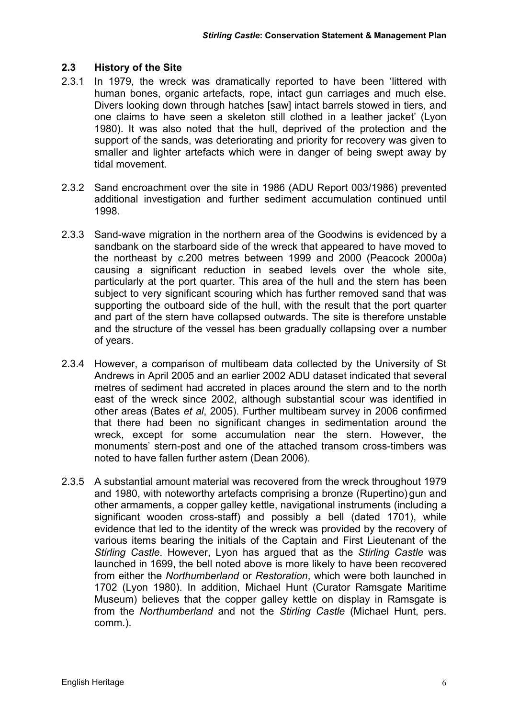#### **2.3 History of the Site**

- 2.3.1 In 1979, the wreck was dramatically reported to have been 'littered with human bones, organic artefacts, rope, intact gun carriages and much else. Divers looking down through hatches [saw] intact barrels stowed in tiers, and one claims to have seen a skeleton still clothed in a leather jacket' (Lyon 1980). It was also noted that the hull, deprived of the protection and the support of the sands, was deteriorating and priority for recovery was given to smaller and lighter artefacts which were in danger of being swept away by tidal movement.
- 2.3.2 Sand encroachment over the site in 1986 (ADU Report 003/1986) prevented additional investigation and further sediment accumulation continued until 1998.
- 2.3.3 Sand-wave migration in the northern area of the Goodwins is evidenced by a sandbank on the starboard side of the wreck that appeared to have moved to the northeast by *c.*200 metres between 1999 and 2000 (Peacock 2000a) causing a significant reduction in seabed levels over the whole site, particularly at the port quarter. This area of the hull and the stern has been subject to very significant scouring which has further removed sand that was supporting the outboard side of the hull, with the result that the port quarter and part of the stern have collapsed outwards. The site is therefore unstable and the structure of the vessel has been gradually collapsing over a number of years.
- 2.3.4 However, a comparison of multibeam data collected by the University of St Andrews in April 2005 and an earlier 2002 ADU dataset indicated that several metres of sediment had accreted in places around the stern and to the north east of the wreck since 2002, although substantial scour was identified in other areas (Bates *et al*, 2005). Further multibeam survey in 2006 confirmed that there had been no significant changes in sedimentation around the wreck, except for some accumulation near the stern. However, the monuments' stern-post and one of the attached transom cross-timbers was noted to have fallen further astern (Dean 2006).
- 2.3.5 A substantial amount material was recovered from the wreck throughout 1979 and 1980, with noteworthy artefacts comprising a bronze (Rupertino) gun and other armaments, a copper galley kettle, navigational instruments (including a significant wooden cross-staff) and possibly a bell (dated 1701), while evidence that led to the identity of the wreck was provided by the recovery of various items bearing the initials of the Captain and First Lieutenant of the *Stirling Castle*. However, Lyon has argued that as the *Stirling Castle* was launched in 1699, the bell noted above is more likely to have been recovered from either the *Northumberland* or *Restoration*, which were both launched in 1702 (Lyon 1980). In addition, Michael Hunt (Curator Ramsgate Maritime Museum) believes that the copper galley kettle on display in Ramsgate is from the *Northumberland* and not the *Stirling Castle* (Michael Hunt, pers. comm.).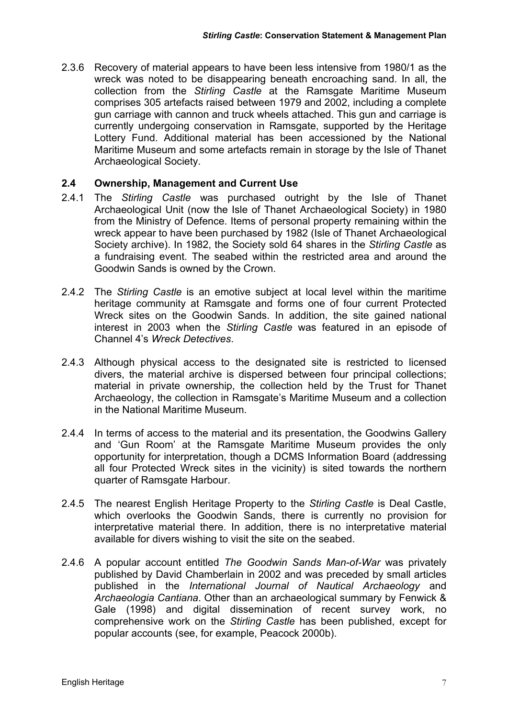2.3.6 Recovery of material appears to have been less intensive from 1980/1 as the wreck was noted to be disappearing beneath encroaching sand. In all, the collection from the *Stirling Castle* at the Ramsgate Maritime Museum comprises 305 artefacts raised between 1979 and 2002, including a complete gun carriage with cannon and truck wheels attached. This gun and carriage is currently undergoing conservation in Ramsgate, supported by the Heritage Lottery Fund. Additional material has been accessioned by the National Maritime Museum and some artefacts remain in storage by the Isle of Thanet Archaeological Society.

#### **2.4 Ownership, Management and Current Use**

- 2.4.1 The *Stirling Castle* was purchased outright by the Isle of Thanet Archaeological Unit (now the Isle of Thanet Archaeological Society) in 1980 from the Ministry of Defence. Items of personal property remaining within the wreck appear to have been purchased by 1982 (Isle of Thanet Archaeological Society archive). In 1982, the Society sold 64 shares in the *Stirling Castle* as a fundraising event. The seabed within the restricted area and around the Goodwin Sands is owned by the Crown.
- 2.4.2 The *Stirling Castle* is an emotive subject at local level within the maritime heritage community at Ramsgate and forms one of four current Protected Wreck sites on the Goodwin Sands. In addition, the site gained national interest in 2003 when the *Stirling Castle* was featured in an episode of Channel 4's *Wreck Detectives*.
- 2.4.3 Although physical access to the designated site is restricted to licensed divers, the material archive is dispersed between four principal collections; material in private ownership, the collection held by the Trust for Thanet Archaeology, the collection in Ramsgate's Maritime Museum and a collection in the National Maritime Museum.
- 2.4.4 In terms of access to the material and its presentation, the Goodwins Gallery and 'Gun Room' at the Ramsgate Maritime Museum provides the only opportunity for interpretation, though a DCMS Information Board (addressing all four Protected Wreck sites in the vicinity) is sited towards the northern quarter of Ramsgate Harbour.
- 2.4.5 The nearest English Heritage Property to the *Stirling Castle* is Deal Castle, which overlooks the Goodwin Sands, there is currently no provision for interpretative material there. In addition, there is no interpretative material available for divers wishing to visit the site on the seabed.
- 2.4.6 A popular account entitled *The Goodwin Sands Man-of-War* was privately published by David Chamberlain in 2002 and was preceded by small articles published in the *International Journal of Nautical Archaeology* and *Archaeologia Cantiana*. Other than an archaeological summary by Fenwick & Gale (1998) and digital dissemination of recent survey work, no comprehensive work on the *Stirling Castle* has been published, except for popular accounts (see, for example, Peacock 2000b).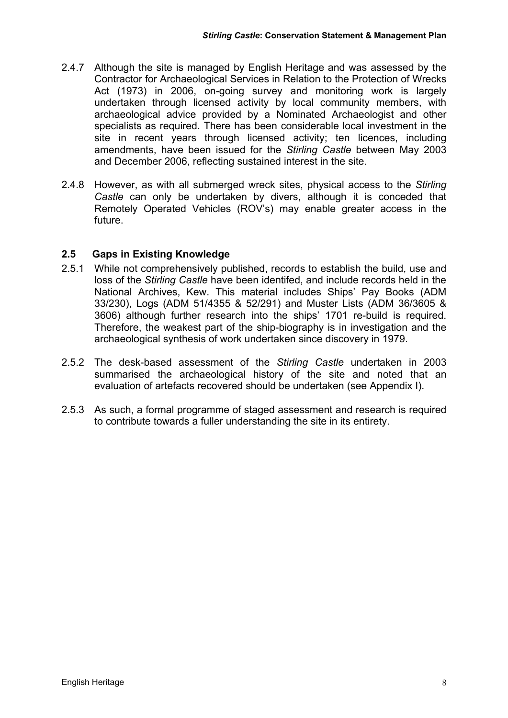- 2.4.7 Although the site is managed by English Heritage and was assessed by the Contractor for Archaeological Services in Relation to the Protection of Wrecks Act (1973) in 2006, on-going survey and monitoring work is largely undertaken through licensed activity by local community members, with archaeological advice provided by a Nominated Archaeologist and other specialists as required. There has been considerable local investment in the site in recent years through licensed activity; ten licences, including amendments, have been issued for the *Stirling Castle* between May 2003 and December 2006, reflecting sustained interest in the site.
- 2.4.8 However, as with all submerged wreck sites, physical access to the *Stirling Castle* can only be undertaken by divers, although it is conceded that Remotely Operated Vehicles (ROV's) may enable greater access in the future.

#### **2.5 Gaps in Existing Knowledge**

- 2.5.1 While not comprehensively published, records to establish the build, use and loss of the *Stirling Castle* have been identifed, and include records held in the National Archives, Kew. This material includes Ships' Pay Books (ADM 33/230), Logs (ADM 51/4355 & 52/291) and Muster Lists (ADM 36/3605 & 3606) although further research into the ships' 1701 re-build is required. Therefore, the weakest part of the ship-biography is in investigation and the archaeological synthesis of work undertaken since discovery in 1979.
- 2.5.2 The desk-based assessment of the *Stirling Castle* undertaken in 2003 summarised the archaeological history of the site and noted that an evaluation of artefacts recovered should be undertaken (see Appendix I).
- 2.5.3 As such, a formal programme of staged assessment and research is required to contribute towards a fuller understanding the site in its entirety.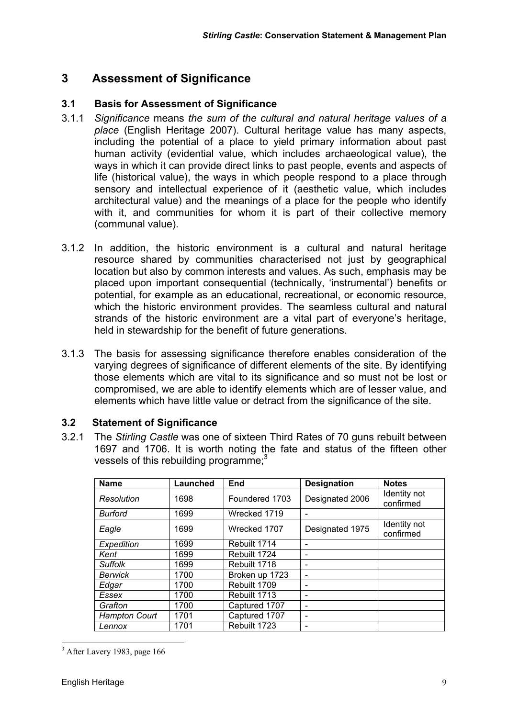#### **3 Assessment of Significance**

#### **3.1 Basis for Assessment of Significance**

- 3.1.1 *Significance* means *the sum of the cultural and natural heritage values of a place* (English Heritage 2007). Cultural heritage value has many aspects, including the potential of a place to yield primary information about past human activity (evidential value, which includes archaeological value), the ways in which it can provide direct links to past people, events and aspects of life (historical value), the ways in which people respond to a place through sensory and intellectual experience of it (aesthetic value, which includes architectural value) and the meanings of a place for the people who identify with it, and communities for whom it is part of their collective memory (communal value).
- 3.1.2 In addition, the historic environment is a cultural and natural heritage resource shared by communities characterised not just by geographical location but also by common interests and values. As such, emphasis may be placed upon important consequential (technically, 'instrumental') benefits or potential, for example as an educational, recreational, or economic resource, which the historic environment provides. The seamless cultural and natural strands of the historic environment are a vital part of everyone's heritage, held in stewardship for the benefit of future generations.
- 3.1.3 The basis for assessing significance therefore enables consideration of the varying degrees of significance of different elements of the site. By identifying those elements which are vital to its significance and so must not be lost or compromised, we are able to identify elements which are of lesser value, and elements which have little value or detract from the significance of the site.

#### **3.2 Statement of Significance**

3.2.1 The *Stirling Castle* was one of sixteen Third Rates of 70 guns rebuilt between 1697 and 1706. It is worth noting the fate and status of the fifteen other vessels of this rebuilding programme; $3<sup>3</sup>$ 

| <b>Name</b>          | Launched | End            | <b>Designation</b>       | <b>Notes</b>              |
|----------------------|----------|----------------|--------------------------|---------------------------|
| Resolution           | 1698     | Foundered 1703 | Designated 2006          | Identity not<br>confirmed |
| <b>Burford</b>       | 1699     | Wrecked 1719   |                          |                           |
| Eagle                | 1699     | Wrecked 1707   | Designated 1975          | Identity not<br>confirmed |
| Expedition           | 1699     | Rebuilt 1714   |                          |                           |
| Kent                 | 1699     | Rebuilt 1724   |                          |                           |
| <b>Suffolk</b>       | 1699     | Rebuilt 1718   |                          |                           |
| Berwick              | 1700     | Broken up 1723 |                          |                           |
| Edgar                | 1700     | Rebuilt 1709   | $\overline{\phantom{0}}$ |                           |
| Essex                | 1700     | Rebuilt 1713   |                          |                           |
| Grafton              | 1700     | Captured 1707  |                          |                           |
| <b>Hampton Court</b> | 1701     | Captured 1707  |                          |                           |
| Lennox               | 1701     | Rebuilt 1723   |                          |                           |

<sup>&</sup>lt;sup>3</sup> After Lavery 1983, page 166

 $\overline{a}$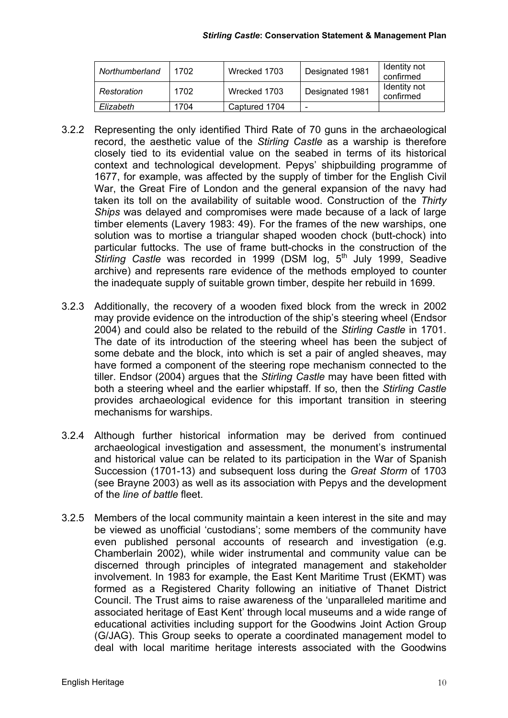| Northumberland | 1702 | Wrecked 1703  | Designated 1981 | Identity not<br>confirmed |
|----------------|------|---------------|-----------------|---------------------------|
| Restoration    | 1702 | Wrecked 1703  | Designated 1981 | Identity not<br>confirmed |
| Elizabeth      | 1704 | Captured 1704 | -               |                           |

- 3.2.2 Representing the only identified Third Rate of 70 guns in the archaeological record, the aesthetic value of the *Stirling Castle* as a warship is therefore closely tied to its evidential value on the seabed in terms of its historical context and technological development. Pepys' shipbuilding programme of 1677, for example, was affected by the supply of timber for the English Civil War, the Great Fire of London and the general expansion of the navy had taken its toll on the availability of suitable wood. Construction of the *Thirty Ships* was delayed and compromises were made because of a lack of large timber elements (Lavery 1983: 49). For the frames of the new warships, one solution was to mortise a triangular shaped wooden chock (butt-chock) into particular futtocks. The use of frame butt-chocks in the construction of the Stirling Castle was recorded in 1999 (DSM log, 5<sup>th</sup> July 1999, Seadive archive) and represents rare evidence of the methods employed to counter the inadequate supply of suitable grown timber, despite her rebuild in 1699.
- 3.2.3 Additionally, the recovery of a wooden fixed block from the wreck in 2002 may provide evidence on the introduction of the ship's steering wheel (Endsor 2004) and could also be related to the rebuild of the *Stirling Castle* in 1701. The date of its introduction of the steering wheel has been the subject of some debate and the block, into which is set a pair of angled sheaves, may have formed a component of the steering rope mechanism connected to the tiller. Endsor (2004) argues that the *Stirling Castle* may have been fitted with both a steering wheel and the earlier whipstaff. If so, then the *Stirling Castle*  provides archaeological evidence for this important transition in steering mechanisms for warships.
- 3.2.4 Although further historical information may be derived from continued archaeological investigation and assessment, the monument's instrumental and historical value can be related to its participation in the War of Spanish Succession (1701-13) and subsequent loss during the *Great Storm* of 1703 (see Brayne 2003) as well as its association with Pepys and the development of the *line of battle* fleet.
- 3.2.5 Members of the local community maintain a keen interest in the site and may be viewed as unofficial 'custodians'; some members of the community have even published personal accounts of research and investigation (e.g. Chamberlain 2002), while wider instrumental and community value can be discerned through principles of integrated management and stakeholder involvement. In 1983 for example, the East Kent Maritime Trust (EKMT) was formed as a Registered Charity following an initiative of Thanet District Council. The Trust aims to raise awareness of the 'unparalleled maritime and associated heritage of East Kent' through local museums and a wide range of educational activities including support for the Goodwins Joint Action Group (G/JAG). This Group seeks to operate a coordinated management model to deal with local maritime heritage interests associated with the Goodwins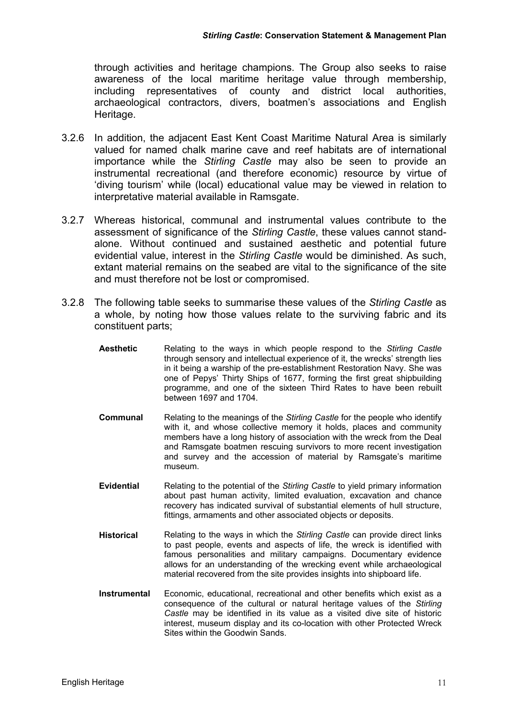through activities and heritage champions. The Group also seeks to raise awareness of the local maritime heritage value through membership, including representatives of county and district local authorities, archaeological contractors, divers, boatmen's associations and English Heritage.

- 3.2.6 In addition, the adjacent East Kent Coast Maritime Natural Area is similarly valued for named chalk marine cave and reef habitats are of international importance while the *Stirling Castle* may also be seen to provide an instrumental recreational (and therefore economic) resource by virtue of 'diving tourism' while (local) educational value may be viewed in relation to interpretative material available in Ramsgate.
- 3.2.7 Whereas historical, communal and instrumental values contribute to the assessment of significance of the *Stirling Castle*, these values cannot standalone. Without continued and sustained aesthetic and potential future evidential value, interest in the *Stirling Castle* would be diminished. As such, extant material remains on the seabed are vital to the significance of the site and must therefore not be lost or compromised.
- 3.2.8 The following table seeks to summarise these values of the *Stirling Castle* as a whole, by noting how those values relate to the surviving fabric and its constituent parts;
	- **Aesthetic** Relating to the ways in which people respond to the *Stirling Castle* through sensory and intellectual experience of it, the wrecks' strength lies in it being a warship of the pre-establishment Restoration Navy. She was one of Pepys' Thirty Ships of 1677, forming the first great shipbuilding programme, and one of the sixteen Third Rates to have been rebuilt between 1697 and 1704.
	- **Communal** Relating to the meanings of the *Stirling Castle* for the people who identify with it, and whose collective memory it holds, places and community members have a long history of association with the wreck from the Deal and Ramsgate boatmen rescuing survivors to more recent investigation and survey and the accession of material by Ramsgate's maritime museum.
	- **Evidential** Relating to the potential of the *Stirling Castle* to yield primary information about past human activity, limited evaluation, excavation and chance recovery has indicated survival of substantial elements of hull structure, fittings, armaments and other associated objects or deposits.
	- **Historical** Relating to the ways in which the *Stirling Castle* can provide direct links to past people, events and aspects of life, the wreck is identified with famous personalities and military campaigns. Documentary evidence allows for an understanding of the wrecking event while archaeological material recovered from the site provides insights into shipboard life.
	- **Instrumental** Economic, educational, recreational and other benefits which exist as a consequence of the cultural or natural heritage values of the *Stirling Castle* may be identified in its value as a visited dive site of historic interest, museum display and its co-location with other Protected Wreck Sites within the Goodwin Sands.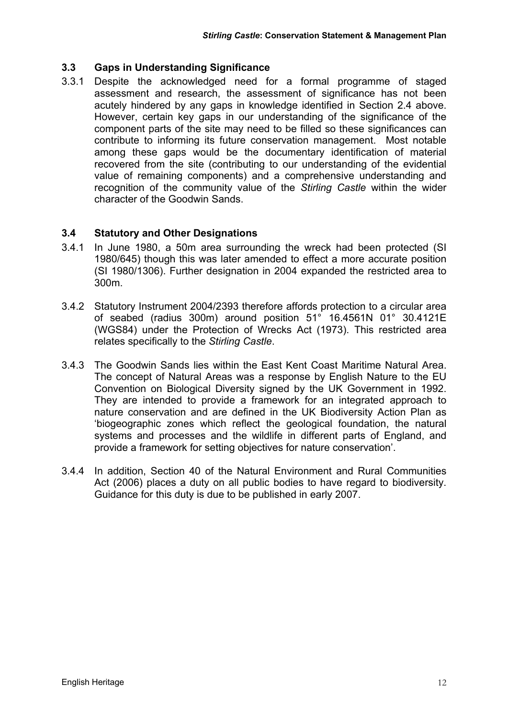#### **3.3 Gaps in Understanding Significance**

3.3.1 Despite the acknowledged need for a formal programme of staged assessment and research, the assessment of significance has not been acutely hindered by any gaps in knowledge identified in Section 2.4 above. However, certain key gaps in our understanding of the significance of the component parts of the site may need to be filled so these significances can contribute to informing its future conservation management. Most notable among these gaps would be the documentary identification of material recovered from the site (contributing to our understanding of the evidential value of remaining components) and a comprehensive understanding and recognition of the community value of the *Stirling Castle* within the wider character of the Goodwin Sands.

#### **3.4 Statutory and Other Designations**

- 3.4.1 In June 1980, a 50m area surrounding the wreck had been protected (SI 1980/645) though this was later amended to effect a more accurate position (SI 1980/1306). Further designation in 2004 expanded the restricted area to 300m.
- 3.4.2 Statutory Instrument 2004/2393 therefore affords protection to a circular area of seabed (radius 300m) around position 51° 16.4561N 01° 30.4121E (WGS84) under the Protection of Wrecks Act (1973). This restricted area relates specifically to the *Stirling Castle*.
- 3.4.3 The Goodwin Sands lies within the East Kent Coast Maritime Natural Area. The concept of Natural Areas was a response by English Nature to the EU Convention on Biological Diversity signed by the UK Government in 1992. They are intended to provide a framework for an integrated approach to nature conservation and are defined in the UK Biodiversity Action Plan as 'biogeographic zones which reflect the geological foundation, the natural systems and processes and the wildlife in different parts of England, and provide a framework for setting objectives for nature conservation'.
- 3.4.4 In addition, Section 40 of the Natural Environment and Rural Communities Act (2006) places a duty on all public bodies to have regard to biodiversity. Guidance for this duty is due to be published in early 2007.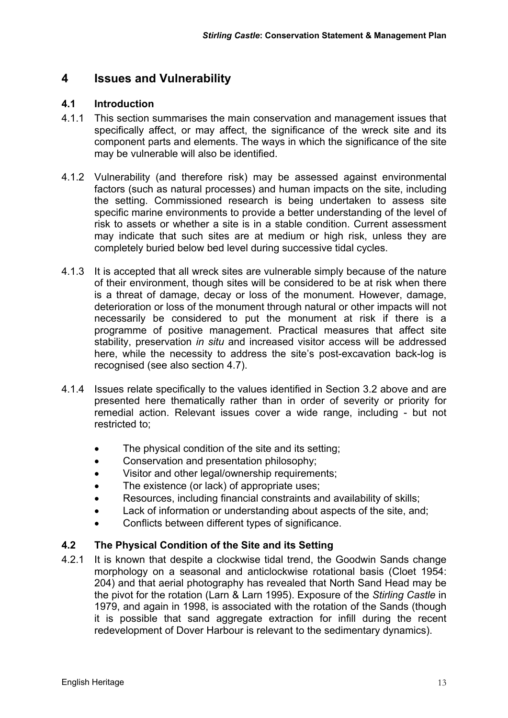#### **4 Issues and Vulnerability**

#### **4.1 Introduction**

- 4.1.1 This section summarises the main conservation and management issues that specifically affect, or may affect, the significance of the wreck site and its component parts and elements. The ways in which the significance of the site may be vulnerable will also be identified.
- 4.1.2 Vulnerability (and therefore risk) may be assessed against environmental factors (such as natural processes) and human impacts on the site, including the setting. Commissioned research is being undertaken to assess site specific marine environments to provide a better understanding of the level of risk to assets or whether a site is in a stable condition. Current assessment may indicate that such sites are at medium or high risk, unless they are completely buried below bed level during successive tidal cycles.
- 4.1.3 It is accepted that all wreck sites are vulnerable simply because of the nature of their environment, though sites will be considered to be at risk when there is a threat of damage, decay or loss of the monument. However, damage, deterioration or loss of the monument through natural or other impacts will not necessarily be considered to put the monument at risk if there is a programme of positive management. Practical measures that affect site stability, preservation *in situ* and increased visitor access will be addressed here, while the necessity to address the site's post-excavation back-log is recognised (see also section 4.7).
- 4.1.4 Issues relate specifically to the values identified in Section 3.2 above and are presented here thematically rather than in order of severity or priority for remedial action. Relevant issues cover a wide range, including - but not restricted to;
	- The physical condition of the site and its setting;
	- Conservation and presentation philosophy;
	- Visitor and other legal/ownership requirements;
	- The existence (or lack) of appropriate uses;
	- Resources, including financial constraints and availability of skills;
	- Lack of information or understanding about aspects of the site, and;
	- Conflicts between different types of significance.

#### **4.2 The Physical Condition of the Site and its Setting**

4.2.1 It is known that despite a clockwise tidal trend, the Goodwin Sands change morphology on a seasonal and anticlockwise rotational basis (Cloet 1954: 204) and that aerial photography has revealed that North Sand Head may be the pivot for the rotation (Larn & Larn 1995). Exposure of the *Stirling Castle* in 1979, and again in 1998, is associated with the rotation of the Sands (though it is possible that sand aggregate extraction for infill during the recent redevelopment of Dover Harbour is relevant to the sedimentary dynamics).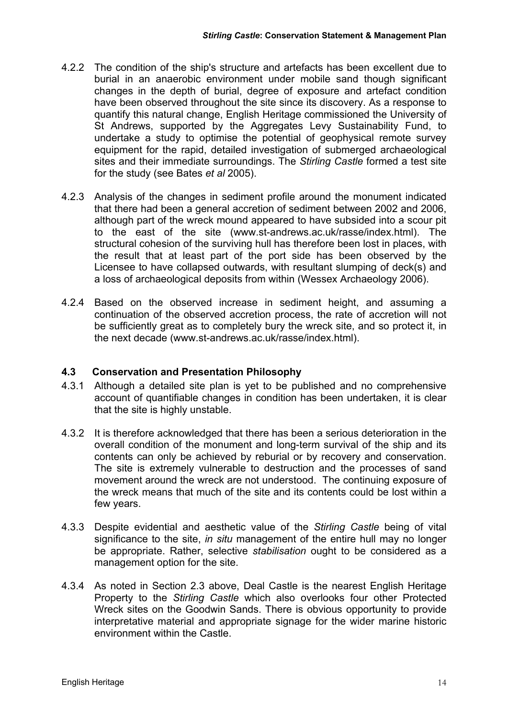- 4.2.2 The condition of the ship's structure and artefacts has been excellent due to burial in an anaerobic environment under mobile sand though significant changes in the depth of burial, degree of exposure and artefact condition have been observed throughout the site since its discovery. As a response to quantify this natural change, English Heritage commissioned the University of St Andrews, supported by the Aggregates Levy Sustainability Fund, to undertake a study to optimise the potential of geophysical remote survey equipment for the rapid, detailed investigation of submerged archaeological sites and their immediate surroundings. The *Stirling Castle* formed a test site for the study (see Bates *et al* 2005).
- 4.2.3 Analysis of the changes in sediment profile around the monument indicated that there had been a general accretion of sediment between 2002 and 2006, although part of the wreck mound appeared to have subsided into a scour pit to the east of the site (www.st-andrews.ac.uk/rasse/index.html). The structural cohesion of the surviving hull has therefore been lost in places, with the result that at least part of the port side has been observed by the Licensee to have collapsed outwards, with resultant slumping of deck(s) and a loss of archaeological deposits from within (Wessex Archaeology 2006).
- 4.2.4 Based on the observed increase in sediment height, and assuming a continuation of the observed accretion process, the rate of accretion will not be sufficiently great as to completely bury the wreck site, and so protect it, in the next decade (www.st-andrews.ac.uk/rasse/index.html).

#### **4.3 Conservation and Presentation Philosophy**

- 4.3.1 Although a detailed site plan is yet to be published and no comprehensive account of quantifiable changes in condition has been undertaken, it is clear that the site is highly unstable.
- 4.3.2 It is therefore acknowledged that there has been a serious deterioration in the overall condition of the monument and long-term survival of the ship and its contents can only be achieved by reburial or by recovery and conservation. The site is extremely vulnerable to destruction and the processes of sand movement around the wreck are not understood. The continuing exposure of the wreck means that much of the site and its contents could be lost within a few years.
- 4.3.3 Despite evidential and aesthetic value of the *Stirling Castle* being of vital significance to the site, *in situ* management of the entire hull may no longer be appropriate. Rather, selective *stabilisation* ought to be considered as a management option for the site.
- 4.3.4 As noted in Section 2.3 above, Deal Castle is the nearest English Heritage Property to the *Stirling Castle* which also overlooks four other Protected Wreck sites on the Goodwin Sands. There is obvious opportunity to provide interpretative material and appropriate signage for the wider marine historic environment within the Castle.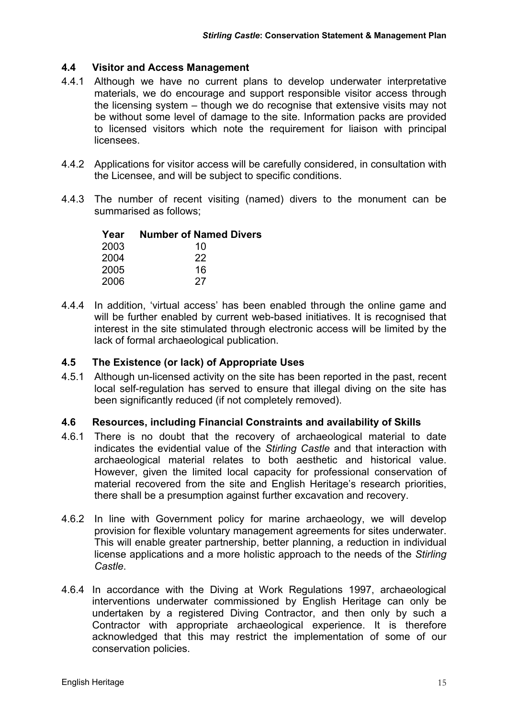#### **4.4 Visitor and Access Management**

- 4.4.1 Although we have no current plans to develop underwater interpretative materials, we do encourage and support responsible visitor access through the licensing system – though we do recognise that extensive visits may not be without some level of damage to the site. Information packs are provided to licensed visitors which note the requirement for liaison with principal licensees.
- 4.4.2 Applications for visitor access will be carefully considered, in consultation with the Licensee, and will be subject to specific conditions.
- 4.4.3 The number of recent visiting (named) divers to the monument can be summarised as follows;

| Year | <b>Number of Named Divers</b> |
|------|-------------------------------|
| 2003 | 10                            |
| 2004 | 22                            |
| 2005 | 16                            |
| 2006 | 27                            |

4.4.4 In addition, 'virtual access' has been enabled through the online game and will be further enabled by current web-based initiatives. It is recognised that interest in the site stimulated through electronic access will be limited by the lack of formal archaeological publication.

#### **4.5 The Existence (or lack) of Appropriate Uses**

4.5.1 Although un-licensed activity on the site has been reported in the past, recent local self-regulation has served to ensure that illegal diving on the site has been significantly reduced (if not completely removed).

#### **4.6 Resources, including Financial Constraints and availability of Skills**

- 4.6.1 There is no doubt that the recovery of archaeological material to date indicates the evidential value of the *Stirling Castle* and that interaction with archaeological material relates to both aesthetic and historical value. However, given the limited local capacity for professional conservation of material recovered from the site and English Heritage's research priorities, there shall be a presumption against further excavation and recovery.
- 4.6.2 In line with Government policy for marine archaeology, we will develop provision for flexible voluntary management agreements for sites underwater. This will enable greater partnership, better planning, a reduction in individual license applications and a more holistic approach to the needs of the *Stirling Castle*.
- 4.6.4 In accordance with the Diving at Work Regulations 1997, archaeological interventions underwater commissioned by English Heritage can only be undertaken by a registered Diving Contractor, and then only by such a Contractor with appropriate archaeological experience. It is therefore acknowledged that this may restrict the implementation of some of our conservation policies.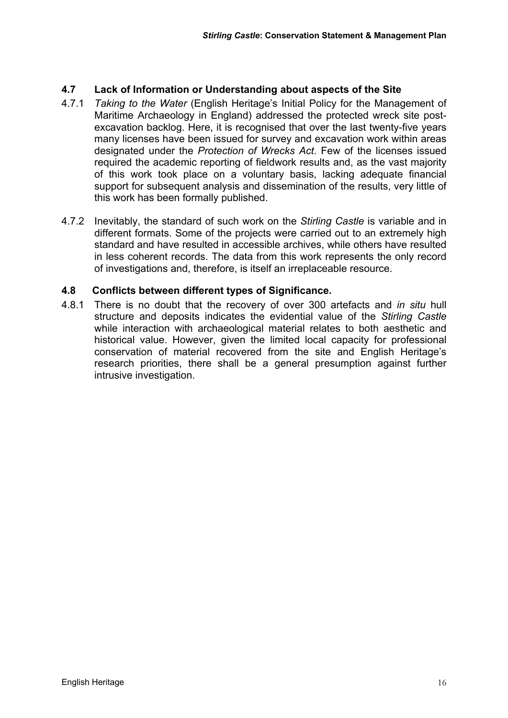#### **4.7 Lack of Information or Understanding about aspects of the Site**

- 4.7.1 *Taking to the Water* (English Heritage's Initial Policy for the Management of Maritime Archaeology in England) addressed the protected wreck site postexcavation backlog. Here, it is recognised that over the last twenty-five years many licenses have been issued for survey and excavation work within areas designated under the *Protection of Wrecks Act*. Few of the licenses issued required the academic reporting of fieldwork results and, as the vast majority of this work took place on a voluntary basis, lacking adequate financial support for subsequent analysis and dissemination of the results, very little of this work has been formally published.
- 4.7.2 Inevitably, the standard of such work on the *Stirling Castle* is variable and in different formats. Some of the projects were carried out to an extremely high standard and have resulted in accessible archives, while others have resulted in less coherent records. The data from this work represents the only record of investigations and, therefore, is itself an irreplaceable resource.

#### **4.8 Conflicts between different types of Significance.**

4.8.1 There is no doubt that the recovery of over 300 artefacts and *in situ* hull structure and deposits indicates the evidential value of the *Stirling Castle* while interaction with archaeological material relates to both aesthetic and historical value. However, given the limited local capacity for professional conservation of material recovered from the site and English Heritage's research priorities, there shall be a general presumption against further intrusive investigation.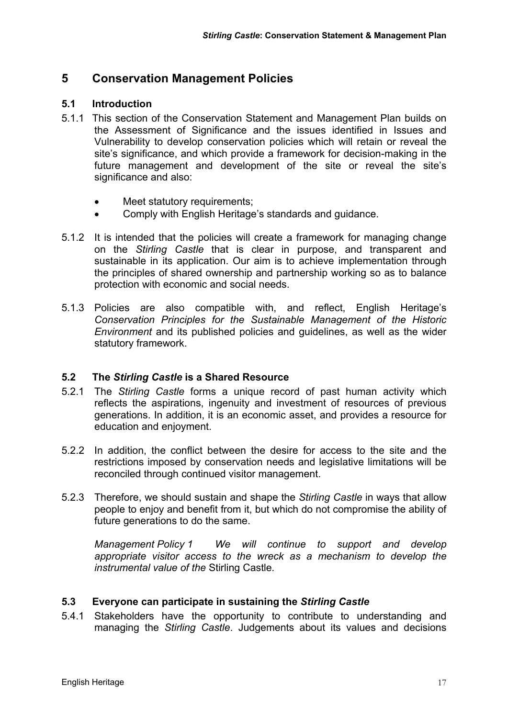#### **5 Conservation Management Policies**

#### **5.1 Introduction**

- 5.1.1 This section of the Conservation Statement and Management Plan builds on the Assessment of Significance and the issues identified in Issues and Vulnerability to develop conservation policies which will retain or reveal the site's significance, and which provide a framework for decision-making in the future management and development of the site or reveal the site's significance and also:
	- Meet statutory requirements;
	- Comply with English Heritage's standards and guidance.
- 5.1.2 It is intended that the policies will create a framework for managing change on the *Stirling Castle* that is clear in purpose, and transparent and sustainable in its application. Our aim is to achieve implementation through the principles of shared ownership and partnership working so as to balance protection with economic and social needs.
- 5.1.3 Policies are also compatible with, and reflect, English Heritage's *Conservation Principles for the Sustainable Management of the Historic Environment* and its published policies and guidelines, as well as the wider statutory framework.

#### **5.2 The** *Stirling Castle* **is a Shared Resource**

- 5.2.1 The *Stirling Castle* forms a unique record of past human activity which reflects the aspirations, ingenuity and investment of resources of previous generations. In addition, it is an economic asset, and provides a resource for education and enjoyment.
- 5.2.2 In addition, the conflict between the desire for access to the site and the restrictions imposed by conservation needs and legislative limitations will be reconciled through continued visitor management.
- 5.2.3 Therefore, we should sustain and shape the *Stirling Castle* in ways that allow people to enjoy and benefit from it, but which do not compromise the ability of future generations to do the same.

*Management Policy 1 We will continue to support and develop appropriate visitor access to the wreck as a mechanism to develop the instrumental value of the* Stirling Castle*.* 

#### **5.3 Everyone can participate in sustaining the** *Stirling Castle*

5.4.1 Stakeholders have the opportunity to contribute to understanding and managing the *Stirling Castle*. Judgements about its values and decisions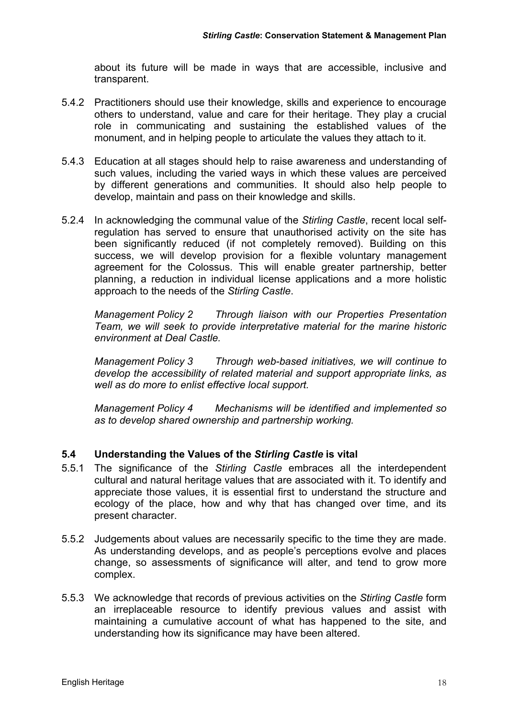about its future will be made in ways that are accessible, inclusive and transparent.

- 5.4.2 Practitioners should use their knowledge, skills and experience to encourage others to understand, value and care for their heritage. They play a crucial role in communicating and sustaining the established values of the monument, and in helping people to articulate the values they attach to it.
- 5.4.3 Education at all stages should help to raise awareness and understanding of such values, including the varied ways in which these values are perceived by different generations and communities. It should also help people to develop, maintain and pass on their knowledge and skills.
- 5.2.4 In acknowledging the communal value of the *Stirling Castle*, recent local selfregulation has served to ensure that unauthorised activity on the site has been significantly reduced (if not completely removed). Building on this success, we will develop provision for a flexible voluntary management agreement for the Colossus. This will enable greater partnership, better planning, a reduction in individual license applications and a more holistic approach to the needs of the *Stirling Castle*.

*Management Policy 2 Through liaison with our Properties Presentation Team, we will seek to provide interpretative material for the marine historic environment at Deal Castle.* 

*Management Policy 3 Through web-based initiatives, we will continue to develop the accessibility of related material and support appropriate links, as well as do more to enlist effective local support.* 

*Management Policy 4 Mechanisms will be identified and implemented so as to develop shared ownership and partnership working.* 

#### **5.4 Understanding the Values of the** *Stirling Castle* **is vital**

- 5.5.1 The significance of the *Stirling Castle* embraces all the interdependent cultural and natural heritage values that are associated with it. To identify and appreciate those values, it is essential first to understand the structure and ecology of the place, how and why that has changed over time, and its present character.
- 5.5.2 Judgements about values are necessarily specific to the time they are made. As understanding develops, and as people's perceptions evolve and places change, so assessments of significance will alter, and tend to grow more complex.
- 5.5.3 We acknowledge that records of previous activities on the *Stirling Castle* form an irreplaceable resource to identify previous values and assist with maintaining a cumulative account of what has happened to the site, and understanding how its significance may have been altered.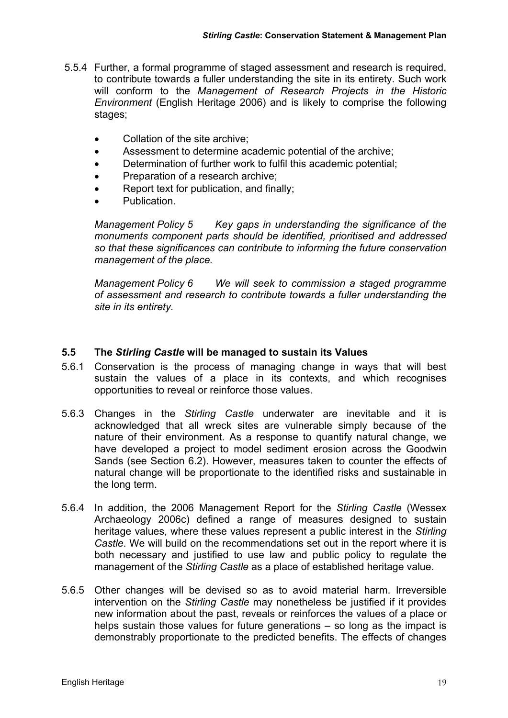- 5.5.4 Further, a formal programme of staged assessment and research is required, to contribute towards a fuller understanding the site in its entirety. Such work will conform to the *Management of Research Projects in the Historic Environment* (English Heritage 2006) and is likely to comprise the following stages;
	- Collation of the site archive:
	- Assessment to determine academic potential of the archive;
	- Determination of further work to fulfil this academic potential;
	- Preparation of a research archive;
	- Report text for publication, and finally:
	- Publication.

*Management Policy 5 Key gaps in understanding the significance of the monuments component parts should be identified, prioritised and addressed so that these significances can contribute to informing the future conservation management of the place.* 

*Management Policy 6 We will seek to commission a staged programme of assessment and research to contribute towards a fuller understanding the site in its entirety.* 

#### **5.5 The** *Stirling Castle* **will be managed to sustain its Values**

- 5.6.1 Conservation is the process of managing change in ways that will best sustain the values of a place in its contexts, and which recognises opportunities to reveal or reinforce those values.
- 5.6.3 Changes in the *Stirling Castle* underwater are inevitable and it is acknowledged that all wreck sites are vulnerable simply because of the nature of their environment. As a response to quantify natural change, we have developed a project to model sediment erosion across the Goodwin Sands (see Section 6.2). However, measures taken to counter the effects of natural change will be proportionate to the identified risks and sustainable in the long term.
- 5.6.4 In addition, the 2006 Management Report for the *Stirling Castle* (Wessex Archaeology 2006c) defined a range of measures designed to sustain heritage values, where these values represent a public interest in the *Stirling Castle*. We will build on the recommendations set out in the report where it is both necessary and justified to use law and public policy to regulate the management of the *Stirling Castle* as a place of established heritage value.
- 5.6.5 Other changes will be devised so as to avoid material harm. Irreversible intervention on the *Stirling Castle* may nonetheless be justified if it provides new information about the past, reveals or reinforces the values of a place or helps sustain those values for future generations – so long as the impact is demonstrably proportionate to the predicted benefits. The effects of changes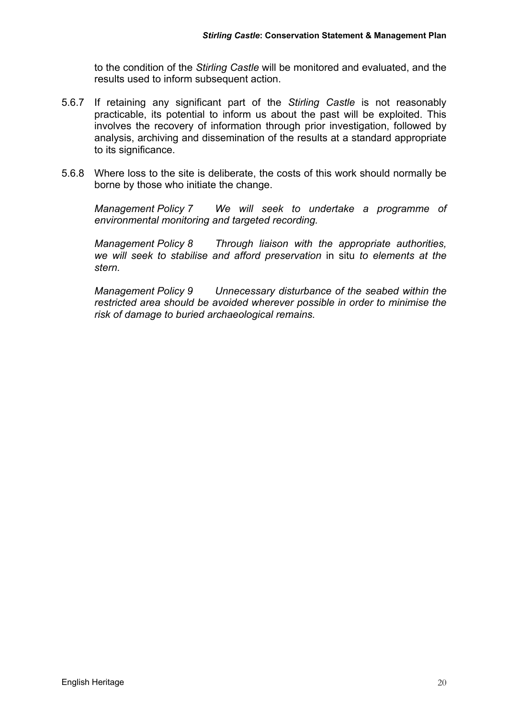to the condition of the *Stirling Castle* will be monitored and evaluated, and the results used to inform subsequent action.

- 5.6.7 If retaining any significant part of the *Stirling Castle* is not reasonably practicable, its potential to inform us about the past will be exploited. This involves the recovery of information through prior investigation, followed by analysis, archiving and dissemination of the results at a standard appropriate to its significance.
- 5.6.8 Where loss to the site is deliberate, the costs of this work should normally be borne by those who initiate the change.

*Management Policy 7 We will seek to undertake a programme of environmental monitoring and targeted recording.* 

*Management Policy 8 Through liaison with the appropriate authorities, we will seek to stabilise and afford preservation* in situ *to elements at the stern.* 

*Management Policy 9 Unnecessary disturbance of the seabed within the restricted area should be avoided wherever possible in order to minimise the risk of damage to buried archaeological remains.*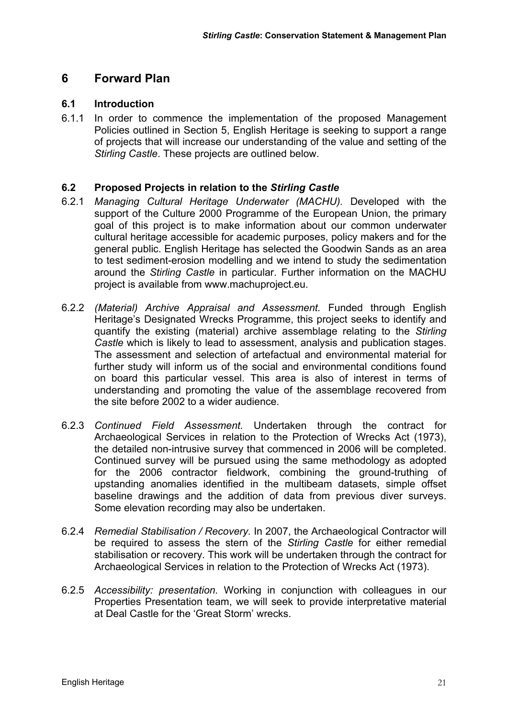#### **6 Forward Plan**

#### **6.1 Introduction**

6.1.1 In order to commence the implementation of the proposed Management Policies outlined in Section 5, English Heritage is seeking to support a range of projects that will increase our understanding of the value and setting of the *Stirling Castle*. These projects are outlined below.

#### **6.2 Proposed Projects in relation to the** *Stirling Castle*

- 6.2.1 *Managing Cultural Heritage Underwater (MACHU).* Developed with the support of the Culture 2000 Programme of the European Union, the primary goal of this project is to make information about our common underwater cultural heritage accessible for academic purposes, policy makers and for the general public. English Heritage has selected the Goodwin Sands as an area to test sediment-erosion modelling and we intend to study the sedimentation around the *Stirling Castle* in particular. Further information on the MACHU project is available from www.machuproject.eu.
- 6.2.2 *(Material) Archive Appraisal and Assessment.* Funded through English Heritage's Designated Wrecks Programme, this project seeks to identify and quantify the existing (material) archive assemblage relating to the *Stirling Castle* which is likely to lead to assessment, analysis and publication stages. The assessment and selection of artefactual and environmental material for further study will inform us of the social and environmental conditions found on board this particular vessel. This area is also of interest in terms of understanding and promoting the value of the assemblage recovered from the site before 2002 to a wider audience.
- 6.2.3 *Continued Field Assessment.* Undertaken through the contract for Archaeological Services in relation to the Protection of Wrecks Act (1973), the detailed non-intrusive survey that commenced in 2006 will be completed. Continued survey will be pursued using the same methodology as adopted for the 2006 contractor fieldwork, combining the ground-truthing of upstanding anomalies identified in the multibeam datasets, simple offset baseline drawings and the addition of data from previous diver surveys. Some elevation recording may also be undertaken.
- 6.2.4 *Remedial Stabilisation / Recovery.* In 2007, the Archaeological Contractor will be required to assess the stern of the *Stirling Castle* for either remedial stabilisation or recovery. This work will be undertaken through the contract for Archaeological Services in relation to the Protection of Wrecks Act (1973).
- 6.2.5 *Accessibility: presentation.* Working in conjunction with colleagues in our Properties Presentation team, we will seek to provide interpretative material at Deal Castle for the 'Great Storm' wrecks.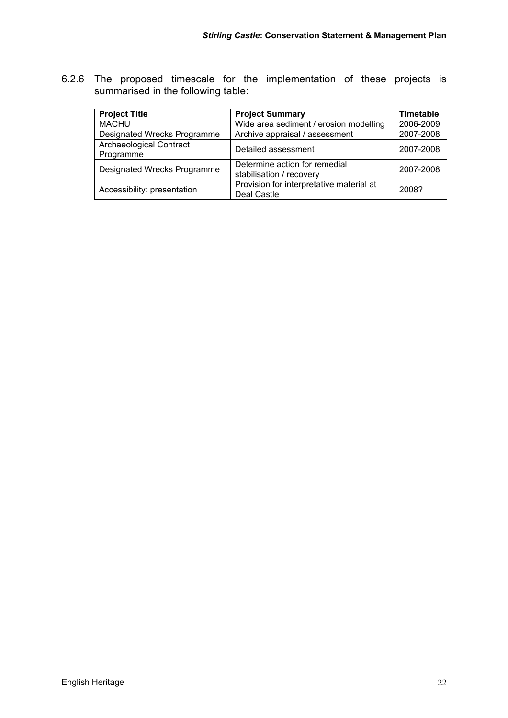6.2.6 The proposed timescale for the implementation of these projects is summarised in the following table:

| <b>Project Title</b>                 | <b>Project Summary</b>                                    | <b>Timetable</b> |
|--------------------------------------|-----------------------------------------------------------|------------------|
| <b>MACHU</b>                         | Wide area sediment / erosion modelling                    | 2006-2009        |
| Designated Wrecks Programme          | Archive appraisal / assessment                            | 2007-2008        |
| Archaeological Contract<br>Programme | Detailed assessment                                       | 2007-2008        |
| Designated Wrecks Programme          | Determine action for remedial<br>stabilisation / recovery | 2007-2008        |
| Accessibility: presentation          | Provision for interpretative material at<br>Deal Castle   | 2008?            |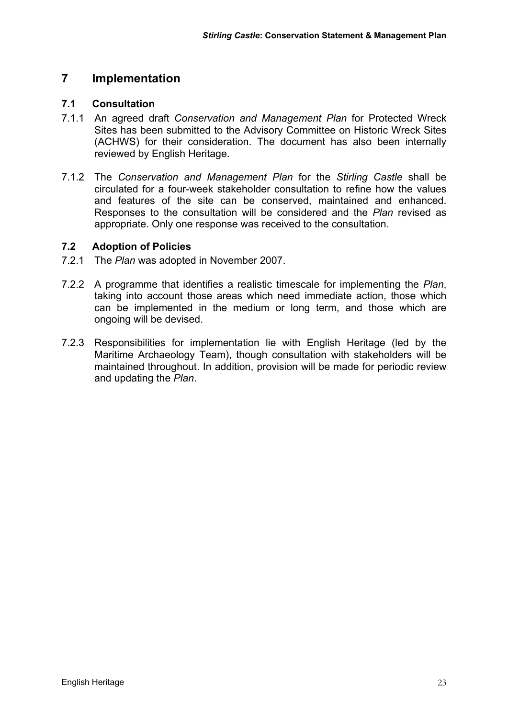#### **7 Implementation**

#### **7.1 Consultation**

- 7.1.1 An agreed draft *Conservation and Management Plan* for Protected Wreck Sites has been submitted to the Advisory Committee on Historic Wreck Sites (ACHWS) for their consideration. The document has also been internally reviewed by English Heritage.
- 7.1.2 The *Conservation and Management Plan* for the *Stirling Castle* shall be circulated for a four-week stakeholder consultation to refine how the values and features of the site can be conserved, maintained and enhanced. Responses to the consultation will be considered and the *Plan* revised as appropriate. Only one response was received to the consultation.

#### **7.2 Adoption of Policies**

- 7.2.1 The *Plan* was adopted in November 2007.
- 7.2.2 A programme that identifies a realistic timescale for implementing the *Plan*, taking into account those areas which need immediate action, those which can be implemented in the medium or long term, and those which are ongoing will be devised.
- 7.2.3 Responsibilities for implementation lie with English Heritage (led by the Maritime Archaeology Team), though consultation with stakeholders will be maintained throughout. In addition, provision will be made for periodic review and updating the *Plan*.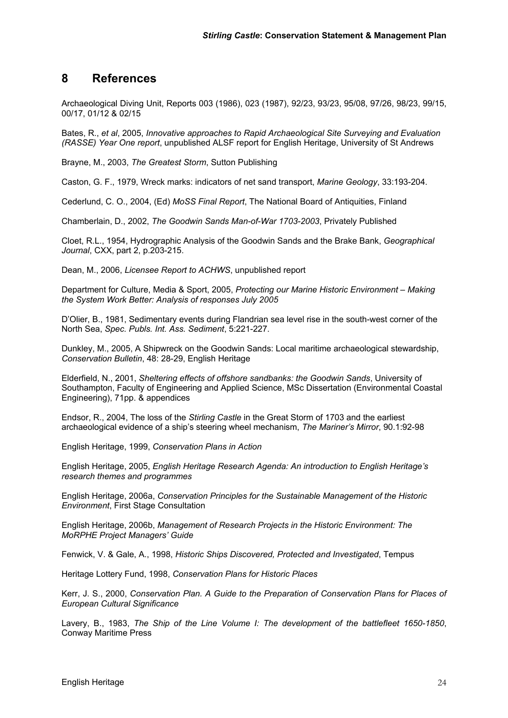#### **8 References**

Archaeological Diving Unit, Reports 003 (1986), 023 (1987), 92/23, 93/23, 95/08, 97/26, 98/23, 99/15, 00/17, 01/12 & 02/15

Bates, R., *et al*, 2005, *Innovative approaches to Rapid Archaeological Site Surveying and Evaluation (RASSE) Year One report*, unpublished ALSF report for English Heritage, University of St Andrews

Brayne, M., 2003, *The Greatest Storm*, Sutton Publishing

Caston, G. F., 1979, Wreck marks: indicators of net sand transport, *Marine Geology*, 33:193-204.

Cederlund, C. O., 2004, (Ed) *MoSS Final Report*, The National Board of Antiquities, Finland

Chamberlain, D., 2002, *The Goodwin Sands Man-of-War 1703-2003*, Privately Published

Cloet, R.L., 1954, Hydrographic Analysis of the Goodwin Sands and the Brake Bank, *Geographical Journal*, CXX, part 2, p.203-215.

Dean, M., 2006, *Licensee Report to ACHWS*, unpublished report

Department for Culture, Media & Sport, 2005, *Protecting our Marine Historic Environment – Making the System Work Better: Analysis of responses July 2005*

D'Olier, B., 1981, Sedimentary events during Flandrian sea level rise in the south-west corner of the North Sea, *Spec. Publs. Int. Ass. Sediment*, 5:221-227.

Dunkley, M., 2005, A Shipwreck on the Goodwin Sands: Local maritime archaeological stewardship, *Conservation Bulletin*, 48: 28-29, English Heritage

Elderfield, N., 2001, *Sheltering effects of offshore sandbanks: the Goodwin Sands*, University of Southampton, Faculty of Engineering and Applied Science, MSc Dissertation (Environmental Coastal Engineering), 71pp. & appendices

Endsor, R., 2004, The loss of the *Stirling Castle* in the Great Storm of 1703 and the earliest archaeological evidence of a ship's steering wheel mechanism, *The Mariner's Mirror*, 90.1:92-98

English Heritage, 1999, *Conservation Plans in Action*

English Heritage, 2005, *English Heritage Research Agenda: An introduction to English Heritage's research themes and programmes* 

English Heritage, 2006a, *Conservation Principles for the Sustainable Management of the Historic Environment*, First Stage Consultation

English Heritage, 2006b, *Management of Research Projects in the Historic Environment: The MoRPHE Project Managers' Guide*

Fenwick, V. & Gale, A., 1998, *Historic Ships Discovered, Protected and Investigated*, Tempus

Heritage Lottery Fund, 1998, *Conservation Plans for Historic Places* 

Kerr, J. S., 2000, *Conservation Plan. A Guide to the Preparation of Conservation Plans for Places of European Cultural Significance*

Lavery, B., 1983, *The Ship of the Line Volume I: The development of the battlefleet 1650-1850*, Conway Maritime Press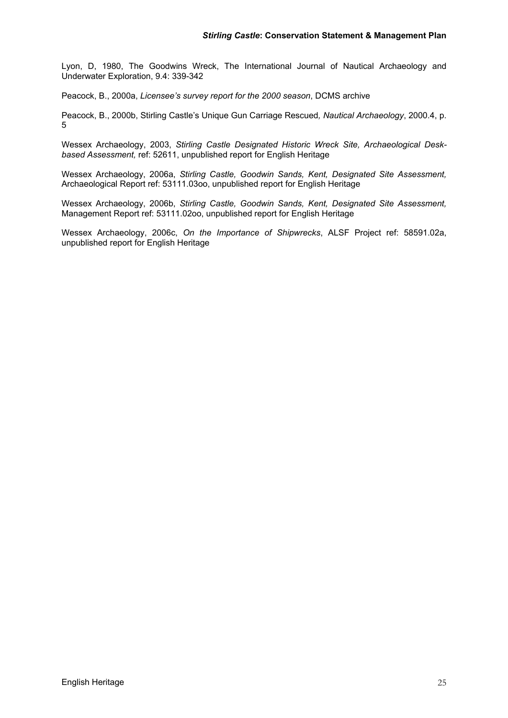Lyon, D, 1980, The Goodwins Wreck, The International Journal of Nautical Archaeology and Underwater Exploration, 9.4: 339-342

Peacock, B., 2000a, *Licensee's survey report for the 2000 season*, DCMS archive

Peacock, B., 2000b, Stirling Castle's Unique Gun Carriage Rescued*, Nautical Archaeology*, 2000.4, p. 5

Wessex Archaeology, 2003, *Stirling Castle Designated Historic Wreck Site, Archaeological Deskbased Assessment,* ref: 52611, unpublished report for English Heritage

Wessex Archaeology, 2006a, *Stirling Castle, Goodwin Sands, Kent, Designated Site Assessment,* Archaeological Report ref: 53111.03oo, unpublished report for English Heritage

Wessex Archaeology, 2006b, *Stirling Castle, Goodwin Sands, Kent, Designated Site Assessment,* Management Report ref: 53111.02oo, unpublished report for English Heritage

Wessex Archaeology, 2006c, *On the Importance of Shipwrecks*, ALSF Project ref: 58591.02a, unpublished report for English Heritage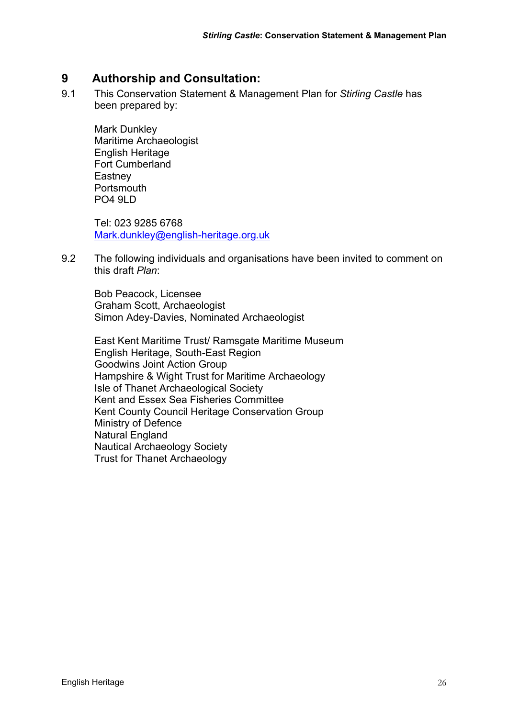#### **9 Authorship and Consultation:**

9.1 This Conservation Statement & Management Plan for *Stirling Castle* has been prepared by:

 Mark Dunkley Maritime Archaeologist English Heritage Fort Cumberland **Eastney** Portsmouth PO4 9LD

Tel: 023 9285 6768 Mark.dunkley@english-heritage.org.uk

9.2 The following individuals and organisations have been invited to comment on this draft *Plan*:

Bob Peacock, Licensee Graham Scott, Archaeologist Simon Adey-Davies, Nominated Archaeologist

East Kent Maritime Trust/ Ramsgate Maritime Museum English Heritage, South-East Region Goodwins Joint Action Group Hampshire & Wight Trust for Maritime Archaeology Isle of Thanet Archaeological Society Kent and Essex Sea Fisheries Committee Kent County Council Heritage Conservation Group Ministry of Defence Natural England Nautical Archaeology Society Trust for Thanet Archaeology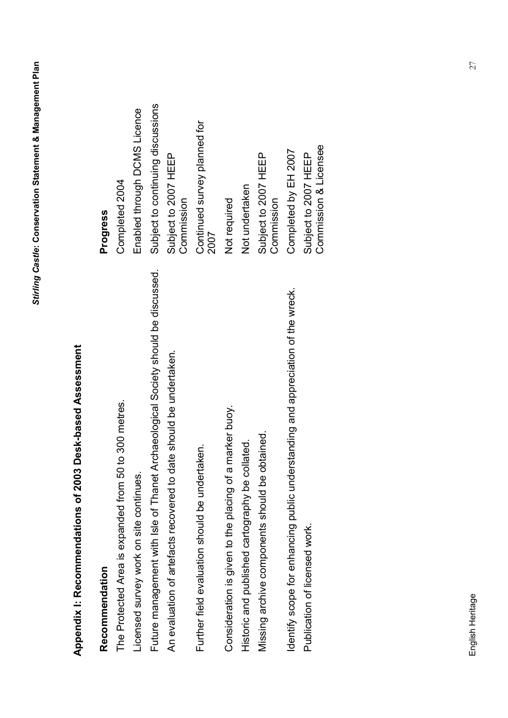## **Appendix I: Recommendations of 2003 Desk-based Assessment**  Appendix I: Recommendations of 2003 Desk-based Assessment

# **Recommendation Progress**  Recommendation

Future management with Isle of Thanet Archaeological Society should be discussed. Subject to continuing discussions Licensed survey work on site continues. Enabled through DCMS Licence The Protected Area is expanded from 50 to 300 metres. Completed 2004 Future management with Isle of Thanet Archaeological Society should be discussed. An evaluation of artefacts recovered to date should be undertaken. The Protected Area is expanded from 50 to 300 metres. Licensed survey work on site continues.

Further field evaluation should be undertaken. The state of the continued survey planned for Further field evaluation should be undertaken.

Missing archive components should be obtained. Subject to 2007 HEEP Historic and published cartography be collated. This is a not undertaken Consideration is given to the placing of a marker buoy. Consideration is given to the placing of a marker buoy. Missing archive components should be obtained. Historic and published cartography be collated.

Identify scope for enhancing public understanding and appreciation of the wreck. Completed by EH 2007 Publication of licensed work.  $\blacksquare$ Identify scope for enhancing public understanding and appreciation of the wreck. Publication of licensed work. Commission & Licensee

Commission & Licensee

### Progress

Subject to continuing discussions Enabled through DCMS Licence Continued survey planned for Completed by EH 2007 Subject to 2007 HEEP An evaluation of artefacts recovered to date should be undertaken. Subject to 2007 HEEP Subject to 2007 HEEP Subject to 2007 HEEP Completed 2004 Not undertaken Commission **Commission Commission** Commission Not required 2007